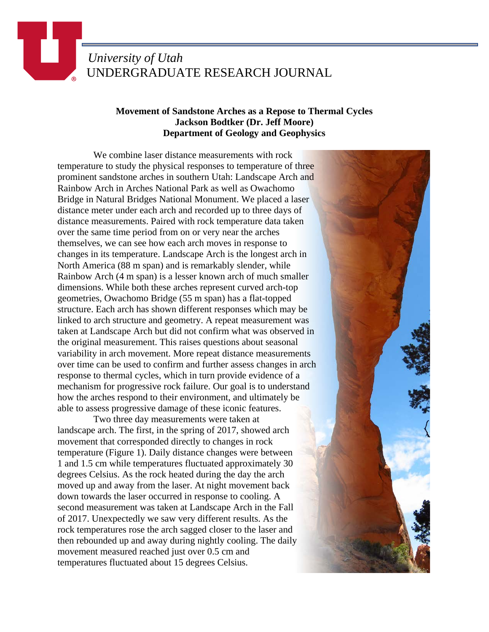## *University of Utah* UNDERGRADUATE RESEARCH JOURNAL

Ш

## **Movement of Sandstone Arches as a Repose to Thermal Cycles Jackson Bodtker (Dr. Jeff Moore) Department of Geology and Geophysics**

 We combine laser distance measurements with rock temperature to study the physical responses to temperature of three prominent sandstone arches in southern Utah: Landscape Arch and Rainbow Arch in Arches National Park as well as Owachomo Bridge in Natural Bridges National Monument. We placed a laser distance meter under each arch and recorded up to three days of distance measurements. Paired with rock temperature data taken over the same time period from on or very near the arches themselves, we can see how each arch moves in response to changes in its temperature. Landscape Arch is the longest arch in North America (88 m span) and is remarkably slender, while Rainbow Arch (4 m span) is a lesser known arch of much smaller dimensions. While both these arches represent curved arch-top geometries, Owachomo Bridge (55 m span) has a flat-topped structure. Each arch has shown different responses which may be linked to arch structure and geometry. A repeat measurement was taken at Landscape Arch but did not confirm what was observed in the original measurement. This raises questions about seasonal variability in arch movement. More repeat distance measurements over time can be used to confirm and further assess changes in arch response to thermal cycles, which in turn provide evidence of a mechanism for progressive rock failure. Our goal is to understand how the arches respond to their environment, and ultimately be able to assess progressive damage of these iconic features.

 Two three day measurements were taken at landscape arch. The first, in the spring of 2017, showed arch movement that corresponded directly to changes in rock temperature (Figure 1). Daily distance changes were between 1 and 1.5 cm while temperatures fluctuated approximately 30 degrees Celsius. As the rock heated during the day the arch moved up and away from the laser. At night movement back down towards the laser occurred in response to cooling. A second measurement was taken at Landscape Arch in the Fall of 2017. Unexpectedly we saw very different results. As the rock temperatures rose the arch sagged closer to the laser and then rebounded up and away during nightly cooling. The daily movement measured reached just over 0.5 cm and temperatures fluctuated about 15 degrees Celsius.